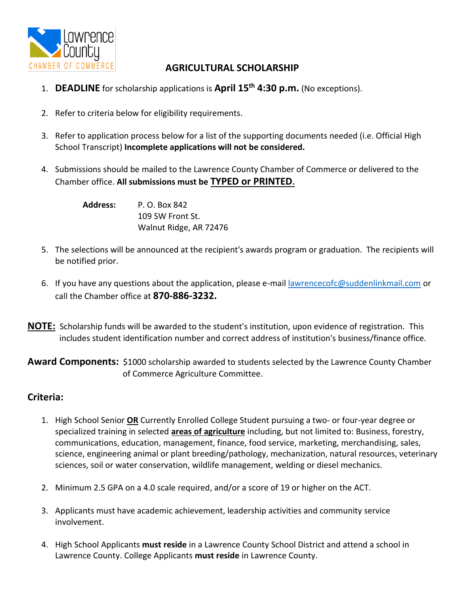

# **AGRICULTURAL SCHOLARSHIP**

- 1. **DEADLINE** for scholarship applications is **April 15th 4:30 p.m.** (No exceptions).
- 2. Refer to criteria below for eligibility requirements.
- 3. Refer to application process below for a list of the supporting documents needed (i.e. Official High School Transcript) **Incomplete applications will not be considered.**
- 4. Submissions should be mailed to the Lawrence County Chamber of Commerce or delivered to the Chamber office. **All submissions must be TYPED or PRINTED.**

**Address:** P. O. Box 842 109 SW Front St. Walnut Ridge, AR 72476

- 5. The selections will be announced at the recipient's awards program or graduation. The recipients will be notified prior.
- 6. If you have any questions about the application, please e-mail [lawrencecofc@suddenlinkmail.com](mailto:lawrencecofc@suddenlinkmail.com) or call the Chamber office at **870-886-3232.**
- **NOTE:** Scholarship funds will be awarded to the student's institution, upon evidence of registration. This includes student identification number and correct address of institution's business/finance office.

**Award Components:** \$1000 scholarship awarded to students selected by the Lawrence County Chamber of Commerce Agriculture Committee.

## **Criteria:**

- 1. High School Senior **OR** Currently Enrolled College Student pursuing a two- or four-year degree or specialized training in selected **areas of agriculture** including, but not limited to: Business, forestry, communications, education, management, finance, food service, marketing, merchandising, sales, science, engineering animal or plant breeding/pathology, mechanization, natural resources, veterinary sciences, soil or water conservation, wildlife management, welding or diesel mechanics.
- 2. Minimum 2.5 GPA on a 4.0 scale required, and/or a score of 19 or higher on the ACT.
- 3. Applicants must have academic achievement, leadership activities and community service involvement.
- 4. High School Applicants **must reside** in a Lawrence County School District and attend a school in Lawrence County. College Applicants **must reside** in Lawrence County.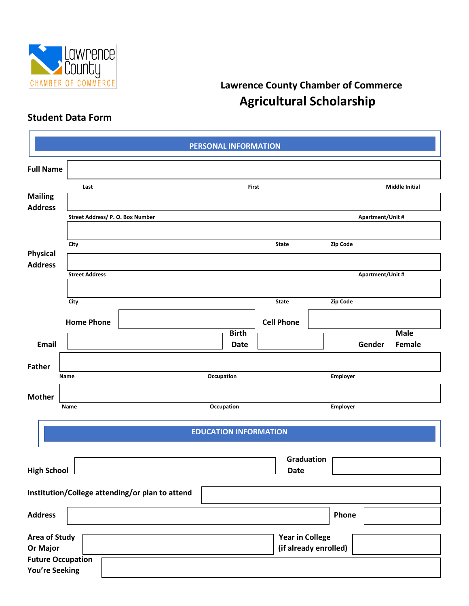

# **Lawrence County Chamber of Commerce Agricultural Scholarship**

# **Student Data Form**

|                       |                                  |                                                 | PERSONAL INFORMATION         |                        |                       |                  |                       |  |
|-----------------------|----------------------------------|-------------------------------------------------|------------------------------|------------------------|-----------------------|------------------|-----------------------|--|
| <b>Full Name</b>      |                                  |                                                 |                              |                        |                       |                  |                       |  |
|                       | Last                             |                                                 | <b>First</b>                 |                        |                       |                  | <b>Middle Initial</b> |  |
| <b>Mailing</b>        |                                  |                                                 |                              |                        |                       |                  |                       |  |
| <b>Address</b>        | Street Address/ P. O. Box Number |                                                 |                              |                        |                       | Apartment/Unit # |                       |  |
|                       |                                  |                                                 |                              |                        |                       |                  |                       |  |
|                       | City                             |                                                 |                              | <b>State</b>           | Zip Code              |                  |                       |  |
| <b>Physical</b>       |                                  |                                                 |                              |                        |                       |                  |                       |  |
| <b>Address</b>        | <b>Street Address</b>            |                                                 |                              |                        |                       | Apartment/Unit # |                       |  |
|                       |                                  |                                                 |                              |                        |                       |                  |                       |  |
|                       | City                             |                                                 |                              | <b>State</b>           | Zip Code              |                  |                       |  |
|                       |                                  |                                                 |                              |                        |                       |                  |                       |  |
|                       | <b>Home Phone</b>                |                                                 |                              | <b>Cell Phone</b>      |                       |                  |                       |  |
|                       |                                  |                                                 | <b>Birth</b>                 |                        |                       |                  | <b>Male</b>           |  |
| <b>Email</b>          |                                  |                                                 | <b>Date</b>                  |                        |                       | Gender           | Female                |  |
| <b>Father</b>         |                                  |                                                 |                              |                        |                       |                  |                       |  |
|                       | Name                             |                                                 | Occupation                   |                        | Employer              |                  |                       |  |
| <b>Mother</b>         |                                  |                                                 |                              |                        |                       |                  |                       |  |
|                       | Name                             |                                                 | Occupation                   |                        | Employer              |                  |                       |  |
|                       |                                  |                                                 |                              |                        |                       |                  |                       |  |
|                       |                                  |                                                 | <b>EDUCATION INFORMATION</b> |                        |                       |                  |                       |  |
|                       |                                  |                                                 |                              | Graduation             |                       |                  |                       |  |
| <b>High School</b>    |                                  |                                                 |                              | <b>Date</b>            |                       |                  |                       |  |
|                       |                                  |                                                 |                              |                        |                       |                  |                       |  |
|                       |                                  | Institution/College attending/or plan to attend |                              |                        |                       |                  |                       |  |
| <b>Address</b>        |                                  |                                                 |                              |                        | Phone                 |                  |                       |  |
| <b>Area of Study</b>  |                                  |                                                 |                              | <b>Year in College</b> |                       |                  |                       |  |
| Or Major              |                                  |                                                 |                              |                        | (if already enrolled) |                  |                       |  |
|                       | <b>Future Occupation</b>         |                                                 |                              |                        |                       |                  |                       |  |
| <b>You're Seeking</b> |                                  |                                                 |                              |                        |                       |                  |                       |  |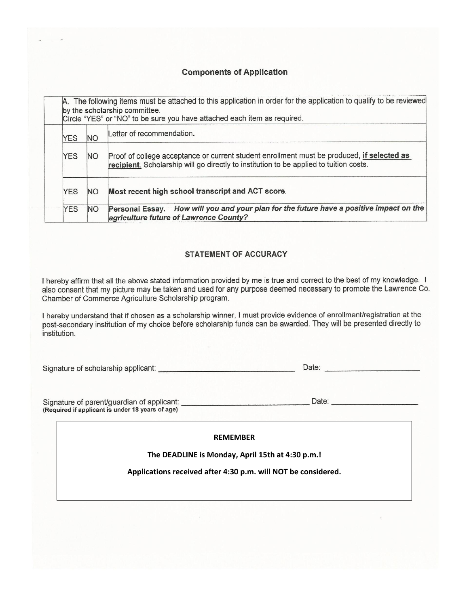### **Components of Application**

|            | A. The following items must be attached to this application in order for the application to qualify to be reviewed<br>by the scholarship committee.<br>Circle "YES" or "NO" to be sure you have attached each item as required. |                                                                                                                                   |  |  |  |  |
|------------|---------------------------------------------------------------------------------------------------------------------------------------------------------------------------------------------------------------------------------|-----------------------------------------------------------------------------------------------------------------------------------|--|--|--|--|
| <b>YES</b> | <b>NO</b>                                                                                                                                                                                                                       | Letter of recommendation.                                                                                                         |  |  |  |  |
| <b>YES</b> | Proof of college acceptance or current student enrollment must be produced, if selected as<br><b>NO</b><br>recipient. Scholarship will go directly to institution to be applied to tuition costs.                               |                                                                                                                                   |  |  |  |  |
| <b>YES</b> | <b>NO</b>                                                                                                                                                                                                                       | Most recent high school transcript and ACT score.                                                                                 |  |  |  |  |
| <b>YES</b> | <b>NO</b>                                                                                                                                                                                                                       | Personal Essay. How will you and your plan for the future have a positive impact on the<br>agriculture future of Lawrence County? |  |  |  |  |

#### **STATEMENT OF ACCURACY**

I hereby affirm that all the above stated information provided by me is true and correct to the best of my knowledge. I also consent that my picture may be taken and used for any purpose deemed necessary to promote the Lawrence Co. Chamber of Commerce Agriculture Scholarship program.

I hereby understand that if chosen as a scholarship winner, I must provide evidence of enrollment/registration at the post-secondary institution of my choice before scholarship funds can be awarded. They will be presented directly to institution.

| Signature of scholarship applicant: |  |  |  |  |
|-------------------------------------|--|--|--|--|
|-------------------------------------|--|--|--|--|

Signature of parent/guardian of applicant: \_\_\_\_\_\_\_\_\_\_\_\_\_\_\_\_\_\_\_\_\_\_\_\_\_\_\_\_\_\_\_\_Date: \_\_\_\_\_\_\_\_\_\_\_\_\_\_\_\_\_\_\_ (Required if applicant is under 18 years of age)

**REMEMBER**

**The DEADLINE is Monday, April 15th at 4:30 p.m.!**

**Applications received after 4:30 p.m. will NOT be considered.**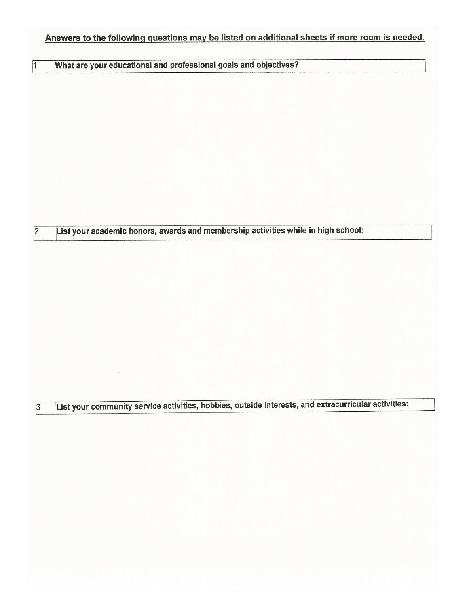# Answers to the following questions may be listed on additional sheets if more room is needed.

|  |  | What are your educational and professional goals and objectives? |  |  |
|--|--|------------------------------------------------------------------|--|--|

 $\sqrt{1}$ 

 $\overline{2}$ 

 $\overline{3}$ 

List your academic honors, awards and membership activities while in high school:

List your community service activities, hobbies, outside interests, and extracurricular activities: